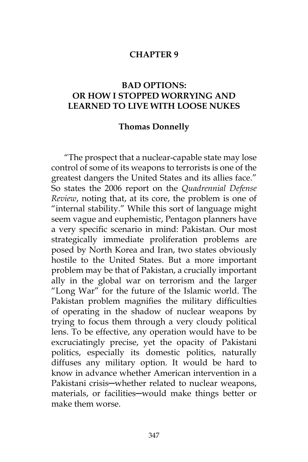#### **CHAPTER 9**

## **BAD OPTIONS: OR HOW I STOPPED WORRYING AND LEARNED TO LIVE WITH LOOSE NUKES**

#### **Thomas Donnelly**

"The prospect that a nuclear-capable state may lose control of some of its weapons to terrorists is one of the greatest dangers the United States and its allies face." So states the 2006 report on the *Quadrennial Defense Review*, noting that, at its core, the problem is one of "internal stability." While this sort of language might seem vague and euphemistic, Pentagon planners have a very specific scenario in mind: Pakistan. Our most strategically immediate proliferation problems are posed by North Korea and Iran, two states obviously hostile to the United States. But a more important problem may be that of Pakistan, a crucially important ally in the global war on terrorism and the larger "Long War" for the future of the Islamic world. The Pakistan problem magnifies the military difficulties of operating in the shadow of nuclear weapons by trying to focus them through a very cloudy political lens. To be effective, any operation would have to be excruciatingly precise, yet the opacity of Pakistani politics, especially its domestic politics, naturally diffuses any military option. It would be hard to know in advance whether American intervention in a Pakistani crisis-whether related to nuclear weapons, materials, or facilities-would make things better or make them worse.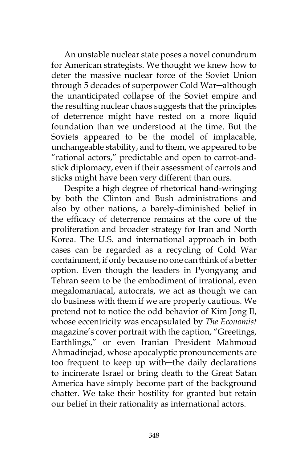An unstable nuclear state poses a novel conundrum for American strategists. We thought we knew how to deter the massive nuclear force of the Soviet Union through 5 decades of superpower Cold War─although the unanticipated collapse of the Soviet empire and the resulting nuclear chaos suggests that the principles of deterrence might have rested on a more liquid foundation than we understood at the time. But the Soviets appeared to be the model of implacable, unchangeable stability, and to them, we appeared to be "rational actors," predictable and open to carrot-andstick diplomacy, even if their assessment of carrots and sticks might have been very different than ours.

Despite a high degree of rhetorical hand-wringing by both the Clinton and Bush administrations and also by other nations, a barely-diminished belief in the efficacy of deterrence remains at the core of the proliferation and broader strategy for Iran and North Korea. The U.S. and international approach in both cases can be regarded as a recycling of Cold War containment, if only because no one can think of a better option. Even though the leaders in Pyongyang and Tehran seem to be the embodiment of irrational, even megalomaniacal, autocrats, we act as though we can do business with them if we are properly cautious. We pretend not to notice the odd behavior of Kim Jong Il, whose eccentricity was encapsulated by *The Economist* magazine's cover portrait with the caption, "Greetings, Earthlings," or even Iranian President Mahmoud Ahmadinejad, whose apocalyptic pronouncements are too frequent to keep up with-the daily declarations to incinerate Israel or bring death to the Great Satan America have simply become part of the background chatter. We take their hostility for granted but retain our belief in their rationality as international actors.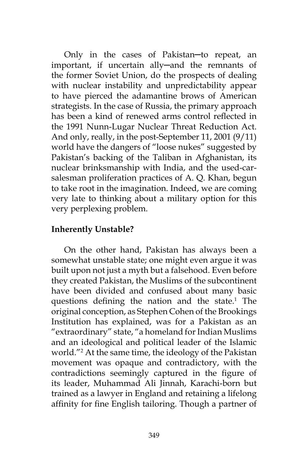Only in the cases of Pakistan-to repeat, an important, if uncertain ally─and the remnants of the former Soviet Union, do the prospects of dealing with nuclear instability and unpredictability appear to have pierced the adamantine brows of American strategists. In the case of Russia, the primary approach has been a kind of renewed arms control reflected in the 1991 Nunn-Lugar Nuclear Threat Reduction Act. And only, really, in the post-September 11, 2001 (9/11) world have the dangers of "loose nukes" suggested by Pakistan's backing of the Taliban in Afghanistan, its nuclear brinksmanship with India, and the used-carsalesman proliferation practices of A. Q. Khan, begun to take root in the imagination. Indeed, we are coming very late to thinking about a military option for this very perplexing problem.

# **Inherently Unstable?**

On the other hand, Pakistan has always been a somewhat unstable state; one might even argue it was built upon not just a myth but a falsehood. Even before they created Pakistan, the Muslims of the subcontinent have been divided and confused about many basic questions defining the nation and the state.<sup>1</sup> The original conception, as Stephen Cohen of the Brookings Institution has explained, was for a Pakistan as an "extraordinary" state, "a homeland for Indian Muslims and an ideological and political leader of the Islamic world."2 At the same time, the ideology of the Pakistan movement was opaque and contradictory, with the contradictions seemingly captured in the figure of its leader, Muhammad Ali Jinnah, Karachi-born but trained as a lawyer in England and retaining a lifelong affinity for fine English tailoring. Though a partner of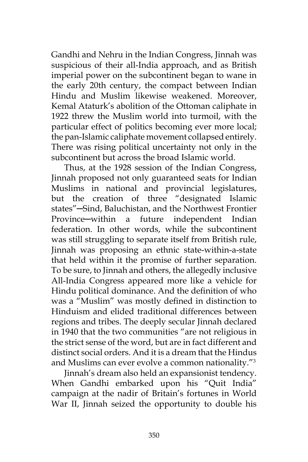Gandhi and Nehru in the Indian Congress, Jinnah was suspicious of their all-India approach, and as British imperial power on the subcontinent began to wane in the early 20th century, the compact between Indian Hindu and Muslim likewise weakened. Moreover, Kemal Ataturk's abolition of the Ottoman caliphate in 1922 threw the Muslim world into turmoil, with the particular effect of politics becoming ever more local; the pan-Islamic caliphate movement collapsed entirely. There was rising political uncertainty not only in the subcontinent but across the broad Islamic world.

Thus, at the 1928 session of the Indian Congress, Jinnah proposed not only guaranteed seats for Indian Muslims in national and provincial legislatures, but the creation of three "designated Islamic states"─Sind, Baluchistan, and the Northwest Frontier Province─within a future independent Indian federation. In other words, while the subcontinent was still struggling to separate itself from British rule, Jinnah was proposing an ethnic state-within-a-state that held within it the promise of further separation. To be sure, to Jinnah and others, the allegedly inclusive All-India Congress appeared more like a vehicle for Hindu political dominance. And the definition of who was a "Muslim" was mostly defined in distinction to Hinduism and elided traditional differences between regions and tribes. The deeply secular Jinnah declared in 1940 that the two communities "are not religious in the strict sense of the word, but are in fact different and distinct social orders. And it is a dream that the Hindus and Muslims can ever evolve a common nationality."3

Jinnah's dream also held an expansionist tendency. When Gandhi embarked upon his "Quit India" campaign at the nadir of Britain's fortunes in World War II, Jinnah seized the opportunity to double his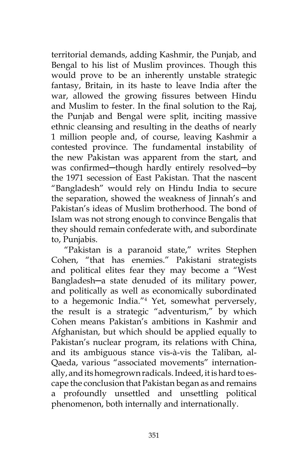territorial demands, adding Kashmir, the Punjab, and Bengal to his list of Muslim provinces. Though this would prove to be an inherently unstable strategic fantasy, Britain, in its haste to leave India after the war, allowed the growing fissures between Hindu and Muslim to fester. In the final solution to the Raj, the Punjab and Bengal were split, inciting massive ethnic cleansing and resulting in the deaths of nearly 1 million people and, of course, leaving Kashmir a contested province. The fundamental instability of the new Pakistan was apparent from the start, and was confirmed-though hardly entirely resolved-by the 1971 secession of East Pakistan. That the nascent "Bangladesh" would rely on Hindu India to secure the separation, showed the weakness of Jinnah's and Pakistan's ideas of Muslim brotherhood. The bond of Islam was not strong enough to convince Bengalis that they should remain confederate with, and subordinate to, Punjabis.

"Pakistan is a paranoid state," writes Stephen Cohen, "that has enemies." Pakistani strategists and political elites fear they may become a "West Bangladesh─a state denuded of its military power, and politically as well as economically subordinated to a hegemonic India."4 Yet, somewhat perversely, the result is a strategic "adventurism," by which Cohen means Pakistan's ambitions in Kashmir and Afghanistan, but which should be applied equally to Pakistan's nuclear program, its relations with China, and its ambiguous stance vis-à-vis the Taliban, al-Qaeda, various "associated movements" internationally, and its homegrown radicals. Indeed, it is hard to escape the conclusion that Pakistan began as and remains a profoundly unsettled and unsettling political phenomenon, both internally and internationally.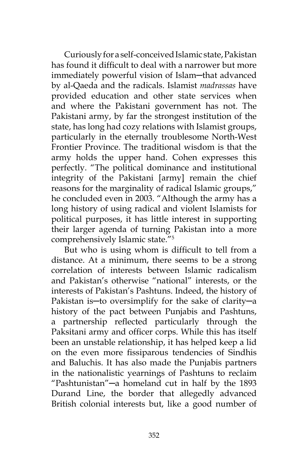Curiously for a self-conceived Islamic state, Pakistan has found it difficult to deal with a narrower but more immediately powerful vision of Islam─that advanced by al-Qaeda and the radicals. Islamist *madrassas* have provided education and other state services when and where the Pakistani government has not. The Pakistani army, by far the strongest institution of the state, has long had cozy relations with Islamist groups, particularly in the eternally troublesome North-West Frontier Province. The traditional wisdom is that the army holds the upper hand. Cohen expresses this perfectly. "The political dominance and institutional integrity of the Pakistani [army] remain the chief reasons for the marginality of radical Islamic groups," he concluded even in 2003. "Although the army has a long history of using radical and violent Islamists for political purposes, it has little interest in supporting their larger agenda of turning Pakistan into a more comprehensively Islamic state."5

But who is using whom is difficult to tell from a distance. At a minimum, there seems to be a strong correlation of interests between Islamic radicalism and Pakistan's otherwise "national" interests, or the interests of Pakistan's Pashtuns. Indeed, the history of Pakistan is─to oversimplify for the sake of clarity─a history of the pact between Punjabis and Pashtuns, a partnership reflected particularly through the Paksitani army and officer corps. While this has itself been an unstable relationship, it has helped keep a lid on the even more fissiparous tendencies of Sindhis and Baluchis. It has also made the Punjabis partners in the nationalistic yearnings of Pashtuns to reclaim "Pashtunistan"─a homeland cut in half by the 1893 Durand Line, the border that allegedly advanced British colonial interests but, like a good number of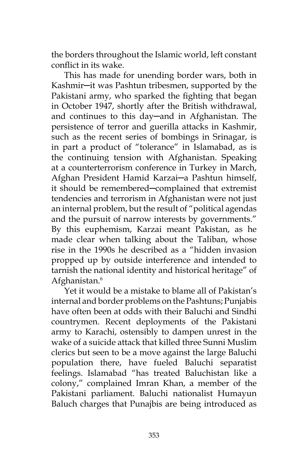the borders throughout the Islamic world, left constant conflict in its wake.

This has made for unending border wars, both in Kashmir─it was Pashtun tribesmen, supported by the Pakistani army, who sparked the fighting that began in October 1947, shortly after the British withdrawal, and continues to this day─and in Afghanistan. The persistence of terror and guerilla attacks in Kashmir, such as the recent series of bombings in Srinagar, is in part a product of "tolerance" in Islamabad, as is the continuing tension with Afghanistan. Speaking at a counterterrorism conference in Turkey in March, Afghan President Hamid Karzai─a Pashtun himself, it should be remembered─complained that extremist tendencies and terrorism in Afghanistan were not just an internal problem, but the result of "political agendas and the pursuit of narrow interests by governments." By this euphemism, Karzai meant Pakistan, as he made clear when talking about the Taliban, whose rise in the 1990s he described as a "hidden invasion propped up by outside interference and intended to tarnish the national identity and historical heritage" of Afghanistan.<sup>6</sup>

Yet it would be a mistake to blame all of Pakistan's internal and border problems on the Pashtuns; Punjabis have often been at odds with their Baluchi and Sindhi countrymen. Recent deployments of the Pakistani army to Karachi, ostensibly to dampen unrest in the wake of a suicide attack that killed three Sunni Muslim clerics but seen to be a move against the large Baluchi population there, have fueled Baluchi separatist feelings. Islamabad "has treated Baluchistan like a colony," complained Imran Khan, a member of the Pakistani parliament. Baluchi nationalist Humayun Baluch charges that Punajbis are being introduced as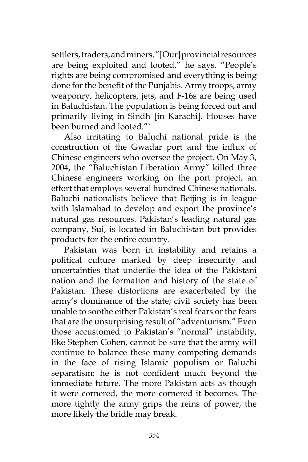settlers, traders, and miners. "[Our] provincial resources are being exploited and looted," he says. "People's rights are being compromised and everything is being done for the benefit of the Punjabis. Army troops, army weaponry, helicopters, jets, and F-16s are being used in Baluchistan. The population is being forced out and primarily living in Sindh [in Karachi]. Houses have been burned and looted."7

Also irritating to Baluchi national pride is the construction of the Gwadar port and the influx of Chinese engineers who oversee the project. On May 3, 2004, the "Baluchistan Liberation Army" killed three Chinese engineers working on the port project, an effort that employs several hundred Chinese nationals. Baluchi nationalists believe that Beijing is in league with Islamabad to develop and export the province's natural gas resources. Pakistan's leading natural gas company, Sui, is located in Baluchistan but provides products for the entire country.

Pakistan was born in instability and retains a political culture marked by deep insecurity and uncertainties that underlie the idea of the Pakistani nation and the formation and history of the state of Pakistan. These distortions are exacerbated by the army's dominance of the state; civil society has been unable to soothe either Pakistan's real fears or the fears that are the unsurprising result of "adventurism." Even those accustomed to Pakistan's "normal" instability, like Stephen Cohen, cannot be sure that the army will continue to balance these many competing demands in the face of rising Islamic populism or Baluchi separatism; he is not confident much beyond the immediate future. The more Pakistan acts as though it were cornered, the more cornered it becomes. The more tightly the army grips the reins of power, the more likely the bridle may break.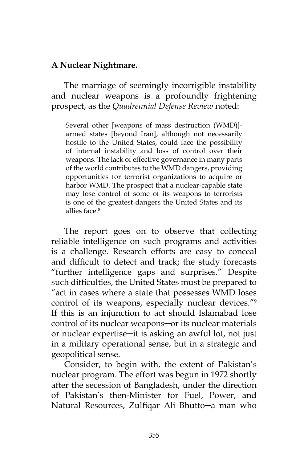#### **A Nuclear Nightmare.**

The marriage of seemingly incorrigible instability and nuclear weapons is a profoundly frightening prospect, as the *Quadrennial Defense Review* noted:

Several other [weapons of mass destruction (WMD)] armed states [beyond Iran], although not necessarily hostile to the United States, could face the possibility of internal instability and loss of control over their weapons. The lack of effective governance in many parts of the world contributes to the WMD dangers, providing opportunities for terrorist organizations to acquire or harbor WMD. The prospect that a nuclear-capable state may lose control of some of its weapons to terrorists is one of the greatest dangers the United States and its allies face.8

The report goes on to observe that collecting reliable intelligence on such programs and activities is a challenge. Research efforts are easy to conceal and difficult to detect and track; the study forecasts "further intelligence gaps and surprises." Despite such difficulties, the United States must be prepared to "act in cases where a state that possesses WMD loses control of its weapons, especially nuclear devices."9 If this is an injunction to act should Islamabad lose control of its nuclear weapons─or its nuclear materials or nuclear expertise─it is asking an awful lot, not just in a military operational sense, but in a strategic and geopolitical sense.

Consider, to begin with, the extent of Pakistan's nuclear program. The effort was begun in 1972 shortly after the secession of Bangladesh, under the direction of Pakistan's then-Minister for Fuel, Power, and Natural Resources, Zulfiqar Ali Bhutto─a man who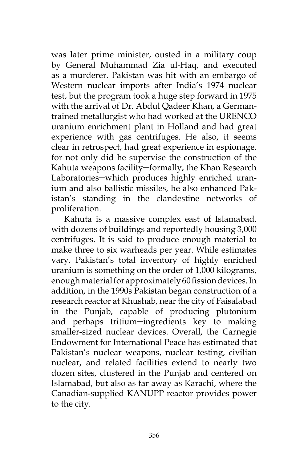was later prime minister, ousted in a military coup by General Muhammad Zia ul-Haq, and executed as a murderer. Pakistan was hit with an embargo of Western nuclear imports after India's 1974 nuclear test, but the program took a huge step forward in 1975 with the arrival of Dr. Abdul Qadeer Khan, a Germantrained metallurgist who had worked at the URENCO uranium enrichment plant in Holland and had great experience with gas centrifuges. He also, it seems clear in retrospect, had great experience in espionage, for not only did he supervise the construction of the Kahuta weapons facility-formally, the Khan Research Laboratories—which produces highly enriched uranium and also ballistic missiles, he also enhanced Pakistan's standing in the clandestine networks of proliferation.

Kahuta is a massive complex east of Islamabad, with dozens of buildings and reportedly housing 3,000 centrifuges. It is said to produce enough material to make three to six warheads per year. While estimates vary, Pakistan's total inventory of highly enriched uranium is something on the order of 1,000 kilograms, enough material for approximately 60 fission devices. In addition, in the 1990s Pakistan began construction of a research reactor at Khushab, near the city of Faisalabad in the Punjab, capable of producing plutonium and perhaps tritium─ingredients key to making smaller-sized nuclear devices. Overall, the Carnegie Endowment for International Peace has estimated that Pakistan's nuclear weapons, nuclear testing, civilian nuclear, and related facilities extend to nearly two dozen sites, clustered in the Punjab and centered on Islamabad, but also as far away as Karachi, where the Canadian-supplied KANUPP reactor provides power to the city.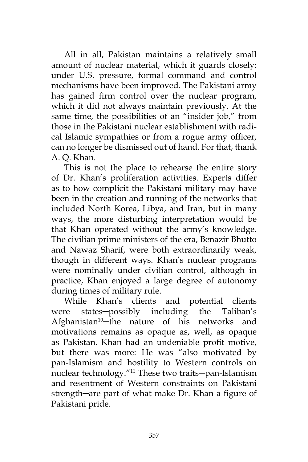All in all, Pakistan maintains a relatively small amount of nuclear material, which it guards closely; under U.S. pressure, formal command and control mechanisms have been improved. The Pakistani army has gained firm control over the nuclear program, which it did not always maintain previously. At the same time, the possibilities of an "insider job," from those in the Pakistani nuclear establishment with radical Islamic sympathies or from a rogue army officer, can no longer be dismissed out of hand. For that, thank A. Q. Khan.

This is not the place to rehearse the entire story of Dr. Khan's proliferation activities. Experts differ as to how complicit the Pakistani military may have been in the creation and running of the networks that included North Korea, Libya, and Iran, but in many ways, the more disturbing interpretation would be that Khan operated without the army's knowledge. The civilian prime ministers of the era, Benazir Bhutto and Nawaz Sharif, were both extraordinarily weak, though in different ways. Khan's nuclear programs were nominally under civilian control, although in practice, Khan enjoyed a large degree of autonomy during times of military rule.

While Khan's clients and potential clients were states-possibly including the Taliban's Afghanistan<sup>10</sup>-the nature of his networks and motivations remains as opaque as, well, as opaque as Pakistan. Khan had an undeniable profit motive, but there was more: He was "also motivated by pan-Islamism and hostility to Western controls on nuclear technology."<sup>11</sup> These two traits-pan-Islamism and resentment of Western constraints on Pakistani strength-are part of what make Dr. Khan a figure of Pakistani pride.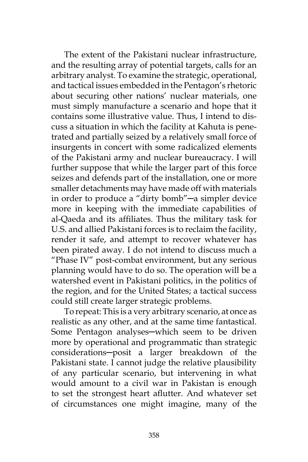The extent of the Pakistani nuclear infrastructure, and the resulting array of potential targets, calls for an arbitrary analyst. To examine the strategic, operational, and tactical issues embedded in the Pentagon's rhetoric about securing other nations' nuclear materials, one must simply manufacture a scenario and hope that it contains some illustrative value. Thus, I intend to discuss a situation in which the facility at Kahuta is penetrated and partially seized by a relatively small force of insurgents in concert with some radicalized elements of the Pakistani army and nuclear bureaucracy. I will further suppose that while the larger part of this force seizes and defends part of the installation, one or more smaller detachments may have made off with materials in order to produce a "dirty bomb"─a simpler device more in keeping with the immediate capabilities of al-Qaeda and its affiliates. Thus the military task for U.S. and allied Pakistani forces is to reclaim the facility, render it safe, and attempt to recover whatever has been pirated away. I do not intend to discuss much a "Phase IV" post-combat environment, but any serious planning would have to do so. The operation will be a watershed event in Pakistani politics, in the politics of the region, and for the United States; a tactical success could still create larger strategic problems.

To repeat: This is a very arbitrary scenario, at once as realistic as any other, and at the same time fantastical. Some Pentagon analyses—which seem to be driven more by operational and programmatic than strategic considerations─posit a larger breakdown of the Pakistani state. I cannot judge the relative plausibility of any particular scenario, but intervening in what would amount to a civil war in Pakistan is enough to set the strongest heart aflutter. And whatever set of circumstances one might imagine, many of the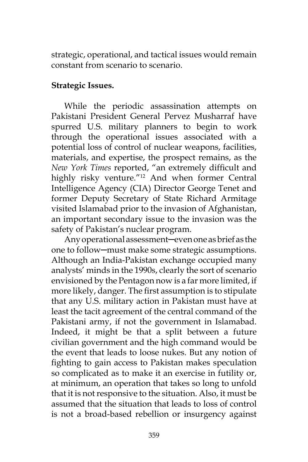strategic, operational, and tactical issues would remain constant from scenario to scenario.

## **Strategic Issues.**

While the periodic assassination attempts on Pakistani President General Pervez Musharraf have spurred U.S. military planners to begin to work through the operational issues associated with a potential loss of control of nuclear weapons, facilities, materials, and expertise, the prospect remains, as the *New York Times* reported, "an extremely difficult and highly risky venture."<sup>12</sup> And when former Central Intelligence Agency (CIA) Director George Tenet and former Deputy Secretary of State Richard Armitage visited Islamabad prior to the invasion of Afghanistan, an important secondary issue to the invasion was the safety of Pakistan's nuclear program.

Any operational assessment─even one as brief as the one to follow─must make some strategic assumptions. Although an India-Pakistan exchange occupied many analysts' minds in the 1990s, clearly the sort of scenario envisioned by the Pentagon now is a far more limited, if more likely, danger. The first assumption is to stipulate that any U.S. military action in Pakistan must have at least the tacit agreement of the central command of the Pakistani army, if not the government in Islamabad. Indeed, it might be that a split between a future civilian government and the high command would be the event that leads to loose nukes. But any notion of fighting to gain access to Pakistan makes speculation so complicated as to make it an exercise in futility or, at minimum, an operation that takes so long to unfold that it is not responsive to the situation. Also, it must be assumed that the situation that leads to loss of control is not a broad-based rebellion or insurgency against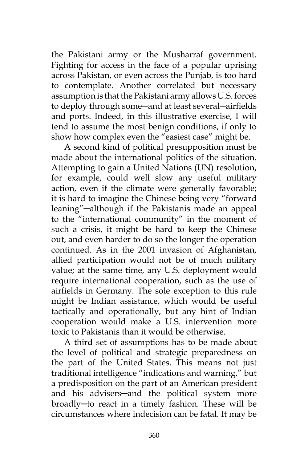the Pakistani army or the Musharraf government. Fighting for access in the face of a popular uprising across Pakistan, or even across the Punjab, is too hard to contemplate. Another correlated but necessary assumption is that the Pakistani army allows U.S. forces to deploy through some-and at least several-airfields and ports. Indeed, in this illustrative exercise, I will tend to assume the most benign conditions, if only to show how complex even the "easiest case" might be.

A second kind of political presupposition must be made about the international politics of the situation. Attempting to gain a United Nations (UN) resolution, for example, could well slow any useful military action, even if the climate were generally favorable; it is hard to imagine the Chinese being very "forward leaning"─although if the Pakistanis made an appeal to the "international community" in the moment of such a crisis, it might be hard to keep the Chinese out, and even harder to do so the longer the operation continued. As in the 2001 invasion of Afghanistan, allied participation would not be of much military value; at the same time, any U.S. deployment would require international cooperation, such as the use of airfields in Germany. The sole exception to this rule might be Indian assistance, which would be useful tactically and operationally, but any hint of Indian cooperation would make a U.S. intervention more toxic to Pakistanis than it would be otherwise.

A third set of assumptions has to be made about the level of political and strategic preparedness on the part of the United States. This means not just traditional intelligence "indications and warning," but a predisposition on the part of an American president and his advisers-and the political system more broadly─to react in a timely fashion. These will be circumstances where indecision can be fatal. It may be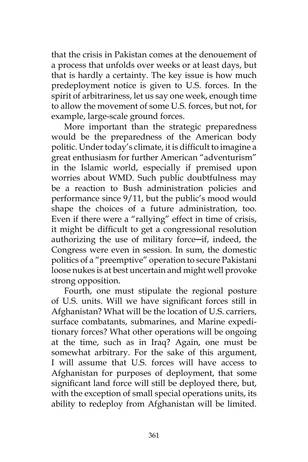that the crisis in Pakistan comes at the denouement of a process that unfolds over weeks or at least days, but that is hardly a certainty. The key issue is how much predeployment notice is given to U.S. forces. In the spirit of arbitrariness, let us say one week, enough time to allow the movement of some U.S. forces, but not, for example, large-scale ground forces.

More important than the strategic preparedness would be the preparedness of the American body politic. Under today's climate, it is difficult to imagine a great enthusiasm for further American "adventurism" in the Islamic world, especially if premised upon worries about WMD. Such public doubtfulness may be a reaction to Bush administration policies and performance since 9/11, but the public's mood would shape the choices of a future administration, too. Even if there were a "rallying" effect in time of crisis, it might be difficult to get a congressional resolution authorizing the use of military force─if, indeed, the Congress were even in session. In sum, the domestic politics of a "preemptive" operation to secure Pakistani loose nukes is at best uncertain and might well provoke strong opposition.

Fourth, one must stipulate the regional posture of U.S. units. Will we have significant forces still in Afghanistan? What will be the location of U.S. carriers, surface combatants, submarines, and Marine expeditionary forces? What other operations will be ongoing at the time, such as in Iraq? Again, one must be somewhat arbitrary. For the sake of this argument, I will assume that U.S. forces will have access to Afghanistan for purposes of deployment, that some significant land force will still be deployed there, but, with the exception of small special operations units, its ability to redeploy from Afghanistan will be limited.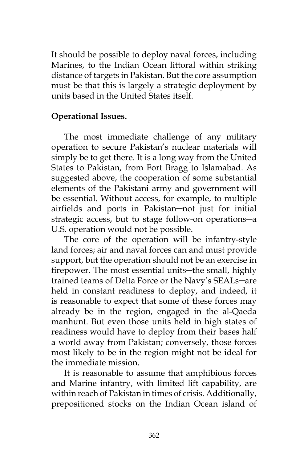It should be possible to deploy naval forces, including Marines, to the Indian Ocean littoral within striking distance of targets in Pakistan. But the core assumption must be that this is largely a strategic deployment by units based in the United States itself.

# **Operational Issues.**

The most immediate challenge of any military operation to secure Pakistan's nuclear materials will simply be to get there. It is a long way from the United States to Pakistan, from Fort Bragg to Islamabad. As suggested above, the cooperation of some substantial elements of the Pakistani army and government will be essential. Without access, for example, to multiple airfields and ports in Pakistan─not just for initial strategic access, but to stage follow-on operations-a U.S. operation would not be possible.

The core of the operation will be infantry-style land forces; air and naval forces can and must provide support, but the operation should not be an exercise in firepower. The most essential units—the small, highly trained teams of Delta Force or the Navy's SEALs─are held in constant readiness to deploy, and indeed, it is reasonable to expect that some of these forces may already be in the region, engaged in the al-Qaeda manhunt. But even those units held in high states of readiness would have to deploy from their bases half a world away from Pakistan; conversely, those forces most likely to be in the region might not be ideal for the immediate mission.

It is reasonable to assume that amphibious forces and Marine infantry, with limited lift capability, are within reach of Pakistan in times of crisis. Additionally, prepositioned stocks on the Indian Ocean island of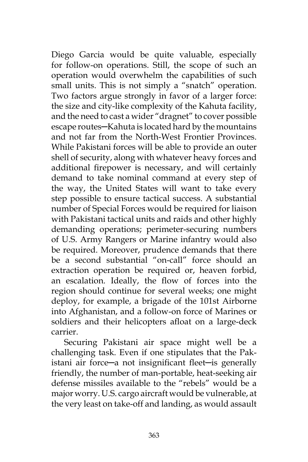Diego Garcia would be quite valuable, especially for follow-on operations. Still, the scope of such an operation would overwhelm the capabilities of such small units. This is not simply a "snatch" operation. Two factors argue strongly in favor of a larger force: the size and city-like complexity of the Kahuta facility, and the need to cast a wider "dragnet" to cover possible escape routes─Kahuta is located hard by the mountains and not far from the North-West Frontier Provinces. While Pakistani forces will be able to provide an outer shell of security, along with whatever heavy forces and additional firepower is necessary, and will certainly demand to take nominal command at every step of the way, the United States will want to take every step possible to ensure tactical success. A substantial number of Special Forces would be required for liaison with Pakistani tactical units and raids and other highly demanding operations; perimeter-securing numbers of U.S. Army Rangers or Marine infantry would also be required. Moreover, prudence demands that there be a second substantial "on-call" force should an extraction operation be required or, heaven forbid, an escalation. Ideally, the flow of forces into the region should continue for several weeks; one might deploy, for example, a brigade of the 101st Airborne into Afghanistan, and a follow-on force of Marines or soldiers and their helicopters afloat on a large-deck carrier.

Securing Pakistani air space might well be a challenging task. Even if one stipulates that the Pakistani air force─a not insignificant fleet─is generally friendly, the number of man-portable, heat-seeking air defense missiles available to the "rebels" would be a major worry. U.S. cargo aircraft would be vulnerable, at the very least on take-off and landing, as would assault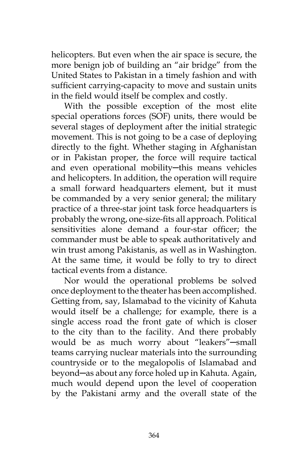helicopters. But even when the air space is secure, the more benign job of building an "air bridge" from the United States to Pakistan in a timely fashion and with sufficient carrying-capacity to move and sustain units in the field would itself be complex and costly.

With the possible exception of the most elite special operations forces (SOF) units, there would be several stages of deployment after the initial strategic movement. This is not going to be a case of deploying directly to the fight. Whether staging in Afghanistan or in Pakistan proper, the force will require tactical and even operational mobility-this means vehicles and helicopters. In addition, the operation will require a small forward headquarters element, but it must be commanded by a very senior general; the military practice of a three-star joint task force headquarters is probably the wrong, one-size-fits all approach. Political sensitivities alone demand a four-star officer; the commander must be able to speak authoritatively and win trust among Pakistanis, as well as in Washington. At the same time, it would be folly to try to direct tactical events from a distance.

Nor would the operational problems be solved once deployment to the theater has been accomplished. Getting from, say, Islamabad to the vicinity of Kahuta would itself be a challenge; for example, there is a single access road the front gate of which is closer to the city than to the facility. And there probably would be as much worry about "leakers"─small teams carrying nuclear materials into the surrounding countryside or to the megalopolis of Islamabad and beyond─as about any force holed up in Kahuta. Again, much would depend upon the level of cooperation by the Pakistani army and the overall state of the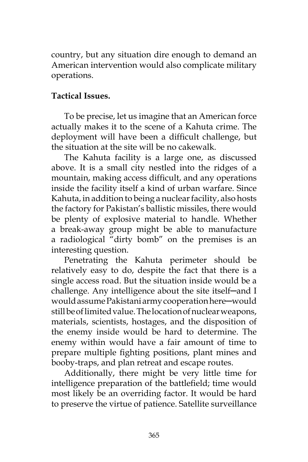country, but any situation dire enough to demand an American intervention would also complicate military operations.

# **Tactical Issues.**

To be precise, let us imagine that an American force actually makes it to the scene of a Kahuta crime. The deployment will have been a difficult challenge, but the situation at the site will be no cakewalk.

The Kahuta facility is a large one, as discussed above. It is a small city nestled into the ridges of a mountain, making access difficult, and any operations inside the facility itself a kind of urban warfare. Since Kahuta, in addition to being a nuclear facility, also hosts the factory for Pakistan's ballistic missiles, there would be plenty of explosive material to handle. Whether a break-away group might be able to manufacture a radiological "dirty bomb" on the premises is an interesting question.

Penetrating the Kahuta perimeter should be relatively easy to do, despite the fact that there is a single access road. But the situation inside would be a challenge. Any intelligence about the site itself─and I would assume Pakistani army cooperation here-would still be of limited value. The location of nuclear weapons, materials, scientists, hostages, and the disposition of the enemy inside would be hard to determine. The enemy within would have a fair amount of time to prepare multiple fighting positions, plant mines and booby-traps, and plan retreat and escape routes.

Additionally, there might be very little time for intelligence preparation of the battlefield; time would most likely be an overriding factor. It would be hard to preserve the virtue of patience. Satellite surveillance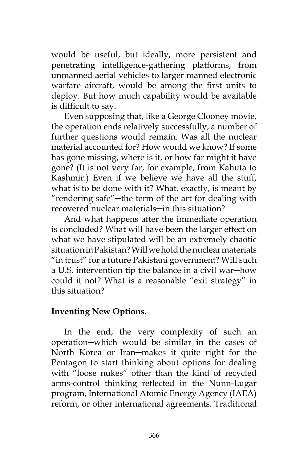would be useful, but ideally, more persistent and penetrating intelligence-gathering platforms, from unmanned aerial vehicles to larger manned electronic warfare aircraft, would be among the first units to deploy. But how much capability would be available is difficult to say.

Even supposing that, like a George Clooney movie, the operation ends relatively successfully, a number of further questions would remain. Was all the nuclear material accounted for? How would we know? If some has gone missing, where is it, or how far might it have gone? (It is not very far, for example, from Kahuta to Kashmir.) Even if we believe we have all the stuff, what is to be done with it? What, exactly, is meant by "rendering safe"─the term of the art for dealing with recovered nuclear materials—in this situation?

And what happens after the immediate operation is concluded? What will have been the larger effect on what we have stipulated will be an extremely chaotic situation in Pakistan? Will we hold the nuclear materials "in trust" for a future Pakistani government? Will such a U.S. intervention tip the balance in a civil war─how could it not? What is a reasonable "exit strategy" in this situation?

### **Inventing New Options.**

In the end, the very complexity of such an operation─which would be similar in the cases of North Korea or Iran-makes it quite right for the Pentagon to start thinking about options for dealing with "loose nukes" other than the kind of recycled arms-control thinking reflected in the Nunn-Lugar program, International Atomic Energy Agency (IAEA) reform, or other international agreements. Traditional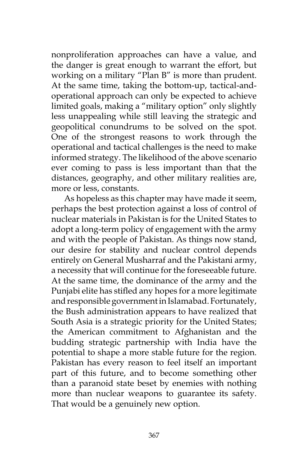nonproliferation approaches can have a value, and the danger is great enough to warrant the effort, but working on a military "Plan B" is more than prudent. At the same time, taking the bottom-up, tactical-andoperational approach can only be expected to achieve limited goals, making a "military option" only slightly less unappealing while still leaving the strategic and geopolitical conundrums to be solved on the spot. One of the strongest reasons to work through the operational and tactical challenges is the need to make informed strategy. The likelihood of the above scenario ever coming to pass is less important than that the distances, geography, and other military realities are, more or less, constants.

As hopeless as this chapter may have made it seem, perhaps the best protection against a loss of control of nuclear materials in Pakistan is for the United States to adopt a long-term policy of engagement with the army and with the people of Pakistan. As things now stand, our desire for stability and nuclear control depends entirely on General Musharraf and the Pakistani army, a necessity that will continue for the foreseeable future. At the same time, the dominance of the army and the Punjabi elite has stifled any hopes for a more legitimate and responsible government in Islamabad. Fortunately, the Bush administration appears to have realized that South Asia is a strategic priority for the United States; the American commitment to Afghanistan and the budding strategic partnership with India have the potential to shape a more stable future for the region. Pakistan has every reason to feel itself an important part of this future, and to become something other than a paranoid state beset by enemies with nothing more than nuclear weapons to guarantee its safety. That would be a genuinely new option.